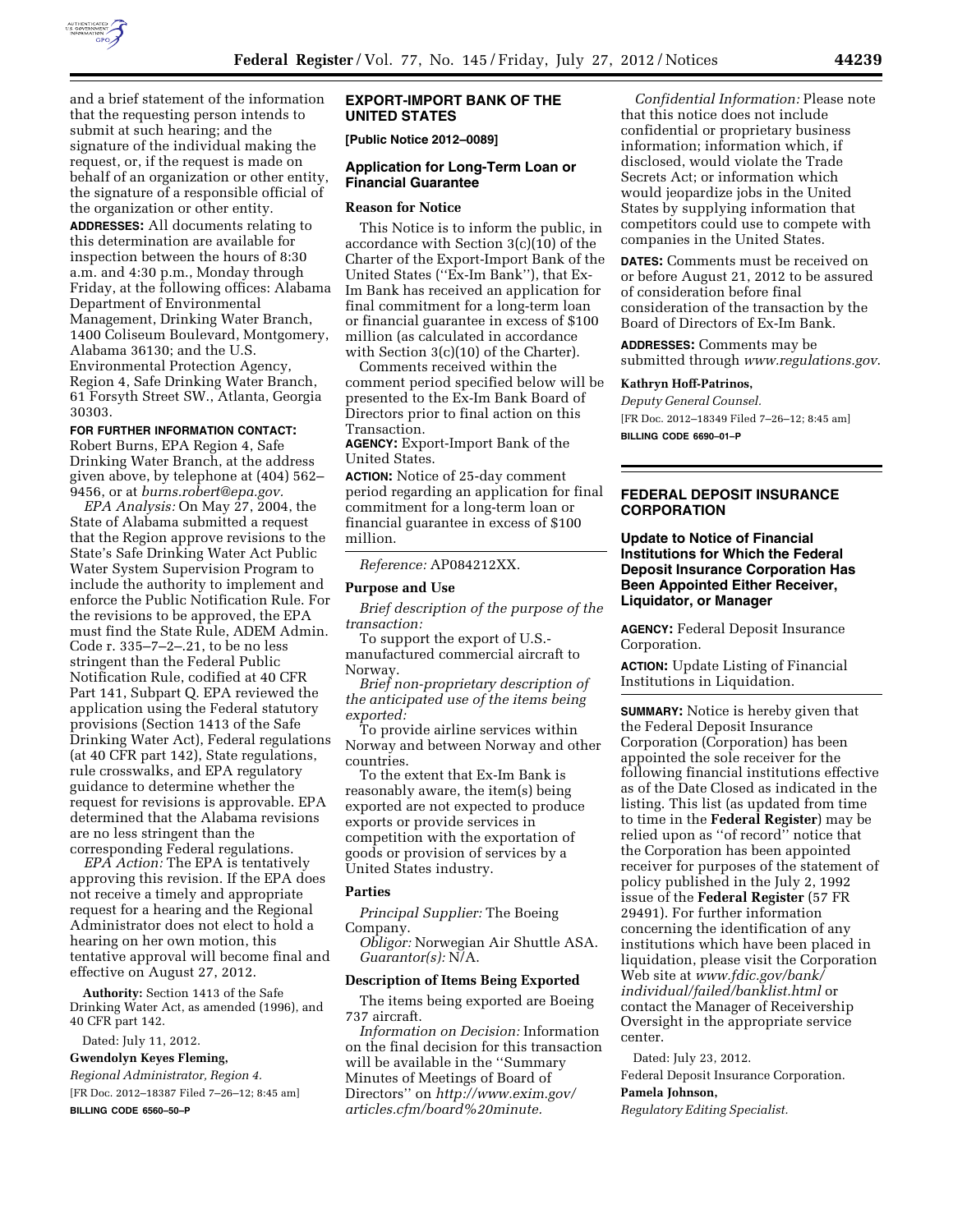

and a brief statement of the information that the requesting person intends to submit at such hearing; and the signature of the individual making the request, or, if the request is made on behalf of an organization or other entity, the signature of a responsible official of the organization or other entity.

**ADDRESSES:** All documents relating to this determination are available for inspection between the hours of 8:30 a.m. and 4:30 p.m., Monday through Friday, at the following offices: Alabama Department of Environmental Management, Drinking Water Branch, 1400 Coliseum Boulevard, Montgomery, Alabama 36130; and the U.S. Environmental Protection Agency, Region 4, Safe Drinking Water Branch, 61 Forsyth Street SW., Atlanta, Georgia 30303.

## **FOR FURTHER INFORMATION CONTACT:**

Robert Burns, EPA Region 4, Safe Drinking Water Branch, at the address given above, by telephone at (404) 562– 9456, or at *[burns.robert@epa.gov.](mailto:burns.robert@epa.gov)* 

*EPA Analysis:* On May 27, 2004, the State of Alabama submitted a request that the Region approve revisions to the State's Safe Drinking Water Act Public Water System Supervision Program to include the authority to implement and enforce the Public Notification Rule. For the revisions to be approved, the EPA must find the State Rule, ADEM Admin. Code r. 335–7–2–.21, to be no less stringent than the Federal Public Notification Rule, codified at 40 CFR Part 141, Subpart Q. EPA reviewed the application using the Federal statutory provisions (Section 1413 of the Safe Drinking Water Act), Federal regulations (at 40 CFR part 142), State regulations, rule crosswalks, and EPA regulatory guidance to determine whether the request for revisions is approvable. EPA determined that the Alabama revisions are no less stringent than the corresponding Federal regulations.

*EPA Action:* The EPA is tentatively approving this revision. If the EPA does not receive a timely and appropriate request for a hearing and the Regional Administrator does not elect to hold a hearing on her own motion, this tentative approval will become final and effective on August 27, 2012.

**Authority:** Section 1413 of the Safe Drinking Water Act, as amended (1996), and 40 CFR part 142.

Dated: July 11, 2012.

**Gwendolyn Keyes Fleming,** 

*Regional Administrator, Region 4.*  [FR Doc. 2012–18387 Filed 7–26–12; 8:45 am] **BILLING CODE 6560–50–P** 

## **EXPORT-IMPORT BANK OF THE UNITED STATES**

**[Public Notice 2012–0089]** 

#### **Application for Long-Term Loan or Financial Guarantee**

#### **Reason for Notice**

This Notice is to inform the public, in accordance with Section 3(c)(10) of the Charter of the Export-Import Bank of the United States (''Ex-Im Bank''), that Ex-Im Bank has received an application for final commitment for a long-term loan or financial guarantee in excess of \$100 million (as calculated in accordance with Section 3(c)(10) of the Charter).

Comments received within the comment period specified below will be presented to the Ex-Im Bank Board of Directors prior to final action on this Transaction.

**AGENCY:** Export-Import Bank of the United States.

**ACTION:** Notice of 25-day comment period regarding an application for final commitment for a long-term loan or financial guarantee in excess of \$100 million.

## *Reference:* AP084212XX.

## **Purpose and Use**

*Brief description of the purpose of the transaction:* 

To support the export of U.S. manufactured commercial aircraft to Norway.

*Brief non-proprietary description of the anticipated use of the items being exported:* 

To provide airline services within Norway and between Norway and other countries.

To the extent that Ex-Im Bank is reasonably aware, the item(s) being exported are not expected to produce exports or provide services in competition with the exportation of goods or provision of services by a United States industry.

#### **Parties**

*Principal Supplier:* The Boeing

Company.

*Obligor:* Norwegian Air Shuttle ASA. *Guarantor(s):* N/A.

#### **Description of Items Being Exported**

The items being exported are Boeing 737 aircraft.

*Information on Decision:* Information on the final decision for this transaction will be available in the ''Summary Minutes of Meetings of Board of Directors'' on *[http://www.exim.gov/](http://www.exim.gov/articles.cfm/board%20minute)  [articles.cfm/board%20minute.](http://www.exim.gov/articles.cfm/board%20minute)* 

*Confidential Information:* Please note that this notice does not include confidential or proprietary business information; information which, if disclosed, would violate the Trade Secrets Act; or information which would jeopardize jobs in the United States by supplying information that competitors could use to compete with companies in the United States.

**DATES:** Comments must be received on or before August 21, 2012 to be assured of consideration before final consideration of the transaction by the Board of Directors of Ex-Im Bank.

**ADDRESSES:** Comments may be submitted through *[www.regulations.gov](http://www.regulations.gov)*.

#### **Kathryn Hoff-Patrinos,**

*Deputy General Counsel.* 

[FR Doc. 2012–18349 Filed 7–26–12; 8:45 am] **BILLING CODE 6690–01–P** 

## **FEDERAL DEPOSIT INSURANCE CORPORATION**

## **Update to Notice of Financial Institutions for Which the Federal Deposit Insurance Corporation Has Been Appointed Either Receiver, Liquidator, or Manager**

**AGENCY:** Federal Deposit Insurance Corporation.

**ACTION:** Update Listing of Financial Institutions in Liquidation.

**SUMMARY:** Notice is hereby given that the Federal Deposit Insurance Corporation (Corporation) has been appointed the sole receiver for the following financial institutions effective as of the Date Closed as indicated in the listing. This list (as updated from time to time in the **Federal Register**) may be relied upon as ''of record'' notice that the Corporation has been appointed receiver for purposes of the statement of policy published in the July 2, 1992 issue of the **Federal Register** (57 FR 29491). For further information concerning the identification of any institutions which have been placed in liquidation, please visit the Corporation Web site at *[www.fdic.gov/bank/](http://www.fdic.gov/bank/individual/failed/banklist.html)  [individual/failed/banklist.html](http://www.fdic.gov/bank/individual/failed/banklist.html)* or contact the Manager of Receivership Oversight in the appropriate service center.

Dated: July 23, 2012.

Federal Deposit Insurance Corporation. **Pamela Johnson,** 

*Regulatory Editing Specialist.*